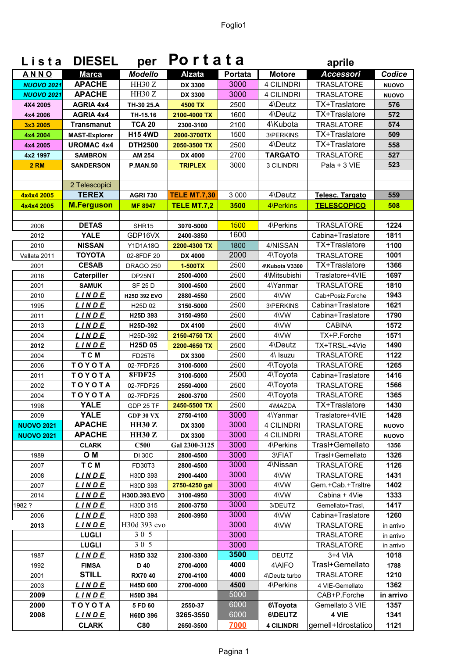| Lista             | <b>DIESEL</b>                  | per                             | Portata                    |                |                         | aprile                               |              |
|-------------------|--------------------------------|---------------------------------|----------------------------|----------------|-------------------------|--------------------------------------|--------------|
| <b>ANNO</b>       | <b>Marca</b>                   | <b>Modello</b>                  | <b>Alzata</b>              | <b>Portata</b> | <b>Motore</b>           | <b>Accessori</b>                     | Codice       |
| <b>NUOVO 2021</b> | <b>APACHE</b>                  | HH30Z                           | DX 3300                    | 3000           | 4 CILINDRI              | <b>TRASLATORE</b>                    | <b>NUOVO</b> |
| <b>NUOVO 2021</b> | <b>APACHE</b>                  | HH30Z                           | DX 3300                    | 3000           | <b>4 CILINDRI</b>       | <b>TRASLATORE</b>                    | <b>NUOVO</b> |
| 4X4 2005          | <b>AGRIA 4x4</b>               | TH-30 25.A                      | 4500 TX                    | 2500           | 4\Deutz                 | TX+Traslatore                        | 576          |
| 4x4 2006          | <b>AGRIA 4x4</b>               | TH-15.16                        | 2100-4000 TX               | 1600           | 4\Deutz                 | TX+Traslatore                        | 572          |
| 3x3 2005          | <b>Transmanut</b>              | <b>TCA 20</b>                   | 2300-3100                  | 2100           | 4\Kubota                | <b>TRASLATORE</b>                    | 574          |
| 4x4 2004          | <b>MAST-Explorer</b>           | <b>H15 4WD</b>                  | 2000-3700TX                | 1500           | 3\PERKINS               | TX+Traslatore                        | 509          |
| 4x4 2005          | <b>UROMAC 4x4</b>              | <b>DTH2500</b>                  | 2050-3500 TX               | 2500           | 4\Deutz                 | TX+Traslatore                        | 558          |
| 4x2 1997          | <b>SAMBRON</b>                 | AM 254                          | DX 4000                    | 2700           | <b>TARGATO</b>          | <b>TRASLATORE</b>                    | 527          |
| <b>2 RM</b>       | <b>SANDERSON</b>               | <b>P.MAN.50</b>                 | <b>TRIPLEX</b>             | 3000           | 3 CILINDRI              | Pala + 3 VIE                         | 523          |
|                   |                                |                                 |                            |                |                         |                                      |              |
|                   | 2 Telescopici                  |                                 |                            |                |                         |                                      |              |
| 4x4x4 2005        | <b>TEREX</b>                   | <b>AGRI 730</b>                 | <b>TELE MT.7,30</b>        | 3 0 0 0        | 4\Deutz                 | Telesc. Targato                      | 559          |
| 4x4x4 2005        | <b>M.Ferguson</b>              | <b>MF 8947</b>                  | TELE MT.7,2                | 3500           | 4\Perkins               | <b>TELESCOPICO</b>                   | 508          |
|                   |                                |                                 |                            |                |                         |                                      |              |
| 2006              | <b>DETAS</b>                   | SHR15                           | 3070-5000                  | 1500           | 4\Perkins               | <b>TRASLATORE</b>                    | 1224         |
| 2012              | <b>YALE</b>                    | GDP16VX                         | 2400-3850                  | 1600           |                         | Cabina+Traslatore                    | 1811         |
| 2010              | <b>NISSAN</b>                  | Y1D1A18Q                        | 2200-4300 TX               | 1800           | 4/NISSAN                | TX+Traslatore                        | 1100         |
| Vallata 2011      | ΤΟΥΟΤΑ                         | 02-8FDF 20                      | DX 4000                    | 2000           | 4\Toyota                | <b>TRASLATORE</b>                    | 1001         |
| 2001              | <b>CESAB</b>                   | <b>DRAGO 250</b>                | 1-500TX                    | 2500           | 4\Kubota V3300          | TX+Traslatore                        | 1366         |
| 2016              | Caterpiller                    | DP25NT                          | 2500-4000                  | 2500           | 4\Mitsubishi            | Traslatore+4VIE                      | 1697         |
| 2001              | <b>SAMUK</b>                   | <b>SF 25 D</b>                  | 3000-4500                  | 2500           | 4\Yanmar                | <b>TRASLATORE</b>                    | 1810         |
| 2010              | <u>LINDE</u>                   | H25D 392 EVO                    | 2880-4550                  | 2500           | 4\VW                    | Cab+Posiz.Forche                     | 1943         |
| 1995              | LINDE                          | H <sub>25</sub> D 02            | 3150-5000                  | 2500           | 3\PERKINS               | Cabina+Traslatore                    | 1621         |
| 2011              | <b>LINDE</b>                   | H25D 393                        | 3150-4950                  | 2500           | 4\VW                    | Cabina+Traslatore                    | 1790         |
| 2013              | <u>LINDE</u>                   | H25D-392                        | DX 4100                    | 2500           | 4\VW                    | <b>CABINA</b>                        | 1572         |
| 2004              | <u>LINDE</u>                   | H25D-392                        | 2150-4750 TX               | 2500           | 4\VW                    | TX+P.Forche                          | 1571         |
| 2012              | <b>LINDE</b>                   | H <sub>25</sub> D <sub>05</sub> | 2200-4650 TX               | 2500           | 4\Deutz                 | TX+TRSL.+4Vie                        | 1490         |
| 2004              | T C M                          | FD25T6                          | DX 3300                    | 2500           | 4\ Isuzu                | <b>TRASLATORE</b>                    | 1122         |
| 2006              | TOYOTA                         | 02-7FDF25                       | 3100-5000                  | 2500           | 4\Toyota                | <b>TRASLATORE</b>                    | 1265         |
| 2011              | TOYOTA                         | <b>8FDF25</b>                   | 3100-5000                  | 2500           | 4\Toyota                | Cabina+Traslatore                    | 1416         |
| 2002              | TOYOTA                         | 02-7FDF25                       | 2550-4000                  | 2500           | 4\Toyota                | <b>TRASLATORE</b>                    | 1566         |
| 2004              | TOYOTA                         | 02-7FDF25                       | 2600-3700                  | 2500           | 4\Toyota                | TRASLATORE                           | 1365         |
| 1998              | <b>YALE</b>                    | GDP 25 TF                       | 2450-5500 TX               | 2500           | 4\MAZDA                 | TX+Traslatore                        | 1430         |
| 2009              | <b>YALE</b>                    | <b>GDP 30 VX</b>                | 2750-4100                  | 3000<br>3000   | 4\Yanmar                | Traslatore+4VIE                      | 1428         |
| <b>NUOVO 2021</b> | <b>APACHE</b><br><b>APACHE</b> | <b>HH30 Z</b>                   | DX 3300                    | 3000           | 4 CILINDRI              | <b>TRASLATORE</b>                    | <b>NUOVO</b> |
| <b>NUOVO 2021</b> |                                | <b>HH30 Z</b><br><b>C500</b>    | DX 3300                    | 3000           | 4 CILINDRI<br>4\Perkins | <b>TRASLATORE</b><br>Trasl+Gemellato | <b>NUOVO</b> |
| 1989              | <b>CLARK</b><br>O M            |                                 | Gal 2300-3125<br>2800-4500 | 3000           | 3\FIAT                  | Trasl+Gemellato                      | 1356<br>1326 |
| 2007              | T C M                          | <b>DI 30C</b>                   | 2800-4500                  | 3000           | 4\Nissan                | <b>TRASLATORE</b>                    | 1126         |
| 2008              | <b>LINDE</b>                   | FD30T3<br>H30D 393              | 2900-4400                  | 3000           | 4\VW                    | <b>TRASLATORE</b>                    | 1431         |
| 2007              | LINDE                          | H30D 393                        | 2750-4250 gal              | 3000           | 4\VW                    | Gem.+Cab.+Trsltre                    | 1402         |
| 2014              | <u>LINDE</u>                   | H30D.393.EVO                    | 3100-4950                  | 3000           | 4\VW                    | Cabina + 4Vie                        | 1333         |
| 1982?             | <u>LINDE</u>                   | H30D 315                        | 2600-3750                  | 3000           | 3/DEUTZ                 | Gemellato+Trasl,                     | 1417         |
| 2006              | <u>LINDE</u>                   | H30D 393                        | 2600-3950                  | 3000           | 4\VW                    | Cabina+Traslatore                    | 1260         |
| 2013              | <b>LINDE</b>                   | H30d 393 evo                    |                            | 3000           | 4\VW                    | TRASLATORE                           | in arrivo    |
|                   | <b>LUGLI</b>                   | 30 5                            |                            | 3000           |                         | <b>TRASLATORE</b>                    | in arrivo    |
|                   | <b>LUGLI</b>                   | 30 5                            |                            | 3000           |                         | <b>TRASLATORE</b>                    | in arrivo    |
| 1987              | LINDE                          | H35D 332                        | 2300-3300                  | 3500           | <b>DEUTZ</b>            | $3+4$ VIA                            | 1018         |
| 1992              | <b>FIMSA</b>                   | D 40                            | 2700-4000                  | 4000           | 4\AIFO                  | Trasl+Gemellato                      | 1788         |
| 2001              | <b>STILL</b>                   | <b>RX7040</b>                   | 2700-4100                  | 4000           | 4\Deutz turbo           | <b>TRASLATORE</b>                    | 1210         |
| 2003              | <b>LINDE</b>                   | H45D 600                        | 2700-4000                  | 4500           | 4\Perkins               | 4 VIE-Gemellato                      | 1362         |
| 2009              | <b>LINDE</b>                   | H50D 394                        |                            | 5000           |                         | CAB+P.Forche                         | in arrivo    |
| 2000              | TOYOTA                         | 5 FD 60                         | 2550-37                    | 6000           | 6\Toyota                | Gemellato 3 VIE                      | 1357         |
| 2008              | <u>LINDE</u>                   | H60D 396                        | 3265-3550                  | 6000           | 6\DEUTZ                 | 4 VIE                                | 1341         |
|                   | <b>CLARK</b>                   | C80                             | 2650-3500                  | 7000           | <b>4 CILINDRI</b>       | gemell+Idrostatico                   | 1121         |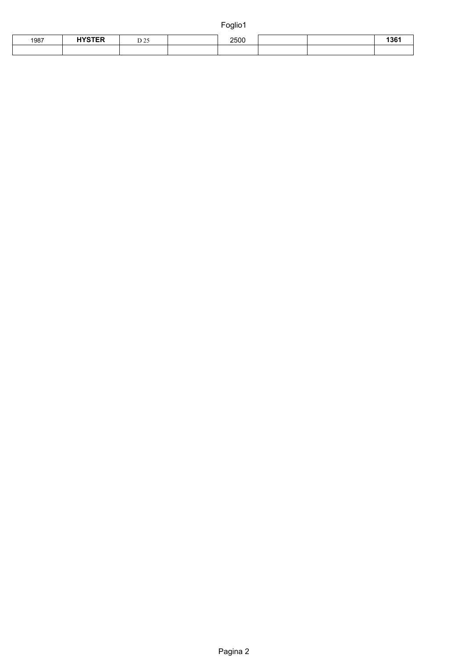| 1987 | <b>UVOTED</b> | $\sum_{i=1}^{n}$<br>رے ب<br>$\sim$ | 2500 |  |  |
|------|---------------|------------------------------------|------|--|--|
|      |               |                                    |      |  |  |